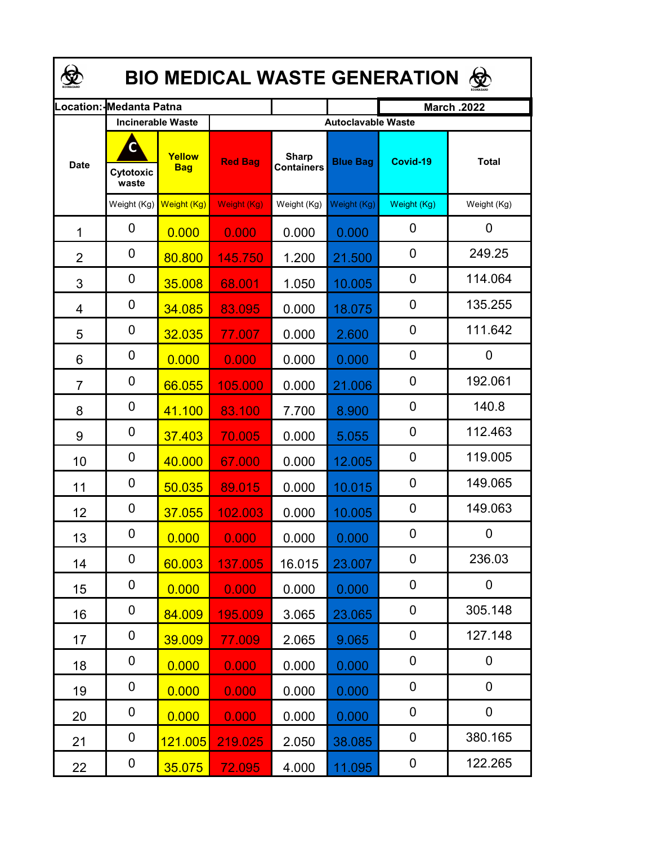| <b>BIO MEDICAL WASTE GENERATION ©</b> |                          |                      |                |                                   |                           |                    |              |  |  |  |
|---------------------------------------|--------------------------|----------------------|----------------|-----------------------------------|---------------------------|--------------------|--------------|--|--|--|
|                                       | .ocation: IMedanta Patna |                      |                |                                   |                           | <b>March .2022</b> |              |  |  |  |
|                                       | <b>Incinerable Waste</b> |                      |                |                                   | <b>Autoclavable Waste</b> |                    |              |  |  |  |
| <b>Date</b>                           | Cytotoxic<br>waste       | Yellow<br><b>Bag</b> | <b>Red Bag</b> | <b>Sharp</b><br><b>Containers</b> | <b>Blue Bag</b>           | Covid-19           | <b>Total</b> |  |  |  |
|                                       | Weight (Kg)              | Weight (Kg)          | Weight (Kg)    | Weight (Kg)                       | Weight (Kg)               | Weight (Kg)        | Weight (Kg)  |  |  |  |
| 1                                     | 0                        | 0.000                | 0.000          | 0.000                             | 0.000                     | 0                  | $\mathbf 0$  |  |  |  |
| $\overline{2}$                        | 0                        | 80.800               | 145.750        | 1.200                             | 21.500                    | $\mathbf 0$        | 249.25       |  |  |  |
| 3                                     | 0                        | 35.008               | 68.001         | 1.050                             | 10.005                    | $\mathbf 0$        | 114.064      |  |  |  |
| 4                                     | 0                        | 34.085               | 83.095         | 0.000                             | 18.075                    | 0                  | 135.255      |  |  |  |
| 5                                     | 0                        | 32.035               | 77.007         | 0.000                             | 2.600                     | 0                  | 111.642      |  |  |  |
| 6                                     | 0                        | 0.000                | 0.000          | 0.000                             | 0.000                     | 0                  | 0            |  |  |  |
| $\overline{7}$                        | 0                        | 66.055               | 105.000        | 0.000                             | 21.006                    | 0                  | 192.061      |  |  |  |
| 8                                     | 0                        | 41.100               | 83.100         | 7.700                             | 8.900                     | $\mathbf 0$        | 140.8        |  |  |  |
| 9                                     | 0                        | 37.403               | 70.005         | 0.000                             | 5.055                     | $\mathbf 0$        | 112.463      |  |  |  |
| 10                                    | 0                        | 40.000               | 67.000         | 0.000                             | 12.005                    | $\mathbf 0$        | 119.005      |  |  |  |
| 11                                    | 0                        | 50.035               | 89.015         | 0.000                             | 10.015                    | 0                  | 149.065      |  |  |  |
| 12                                    | 0                        | 37.055               | 102.003        | 0.000                             | 10.005                    | $\mathbf 0$        | 149.063      |  |  |  |
| 13                                    | 0                        | 0.000                | 0.000          | 0.000                             | 0.000                     | 0                  | $\mathbf 0$  |  |  |  |
| 14                                    | 0                        | 60.003               | 137.005        | 16.015                            | 23.007                    | 0                  | 236.03       |  |  |  |
| 15                                    | 0                        | 0.000                | 0.000          | 0.000                             | 0.000                     | 0                  | 0            |  |  |  |
| 16                                    | 0                        | 84.009               | 195.009        | 3.065                             | 23.065                    | 0                  | 305.148      |  |  |  |
| 17                                    | 0                        | 39.009               | 77.009         | 2.065                             | 9.065                     | 0                  | 127.148      |  |  |  |
| 18                                    | 0                        | 0.000                | 0.000          | 0.000                             | 0.000                     | 0                  | 0            |  |  |  |
| 19                                    | 0                        | 0.000                | 0.000          | 0.000                             | 0.000                     | 0                  | 0            |  |  |  |
| 20                                    | 0                        | 0.000                | 0.000          | 0.000                             | 0.000                     | $\boldsymbol{0}$   | 0            |  |  |  |
| 21                                    | 0                        | 121.005              | 219.025        | 2.050                             | 38.085                    | $\boldsymbol{0}$   | 380.165      |  |  |  |
| 22                                    | 0                        | 35.075               | 72.095         | 4.000                             | 11.095                    | 0                  | 122.265      |  |  |  |